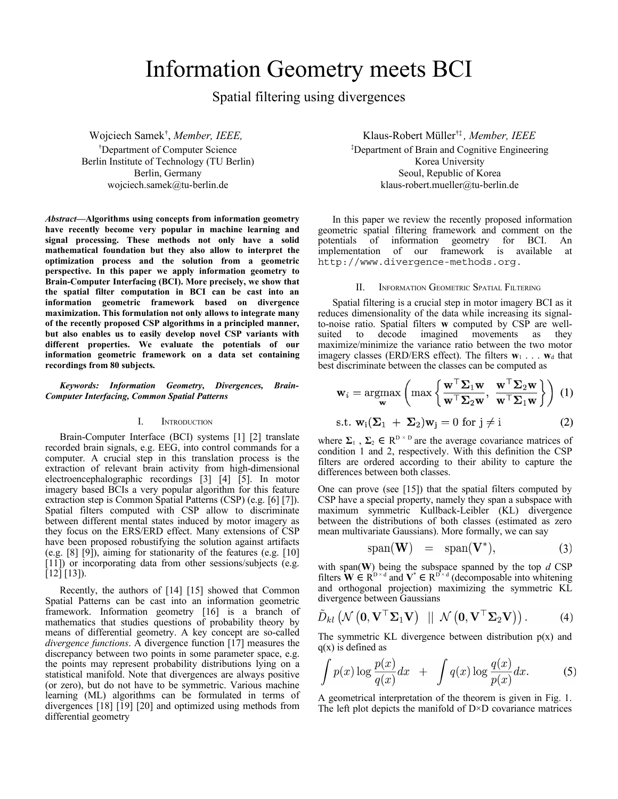# Information Geometry meets BCI

Spatial filtering using divergences

Wojciech Samek† , *Member, IEEE,*  †Department of Computer Science Berlin Institute of Technology (TU Berlin) Berlin, Germany wojciech.samek@tu-berlin.de

*Abstract***—Algorithms using concepts from information geometry have recently become very popular in machine learning and signal processing. These methods not only have a solid mathematical foundation but they also allow to interpret the optimization process and the solution from a geometric perspective. In this paper we apply information geometry to Brain-Computer Interfacing (BCI). More precisely, we show that the spatial filter computation in BCI can be cast into an information geometric framework based on divergence maximization. This formulation not only allows to integrate many of the recently proposed CSP algorithms in a principled manner, but also enables us to easily develop novel CSP variants with different properties. We evaluate the potentials of our information geometric framework on a data set containing recordings from 80 subjects.**

*Keywords: Information Geometry, Divergences, Brain-Computer Interfacing, Common Spatial Patterns*

# I. INTRODUCTION

Brain-Computer Interface (BCI) systems [1] [2] translate recorded brain signals, e.g. EEG, into control commands for a computer. A crucial step in this translation process is the extraction of relevant brain activity from high-dimensional electroencephalographic recordings [3] [4] [5]. In motor imagery based BCIs a very popular algorithm for this feature extraction step is Common Spatial Patterns (CSP) (e.g. [6] [7]). Spatial filters computed with CSP allow to discriminate between different mental states induced by motor imagery as they focus on the ERS/ERD effect. Many extensions of CSP have been proposed robustifying the solution against artifacts (e.g. [8] [9]), aiming for stationarity of the features (e.g. [10] [11]) or incorporating data from other sessions/subjects (e.g.  $[12] [13]$ .

Recently, the authors of [14] [15] showed that Common Spatial Patterns can be cast into an information geometric framework. Information geometry [16] is a branch of mathematics that studies questions of probability theory by means of differential geometry. A key concept are so-called *divergence functions*. A divergence function [17] measures the discrepancy between two points in some parameter space, e.g. the points may represent probability distributions lying on a statistical manifold. Note that divergences are always positive (or zero), but do not have to be symmetric. Various machine learning (ML) algorithms can be formulated in terms of divergences [18] [19] [20] and optimized using methods from differential geometry

Klaus-Robert Müller†‡ *, Member, IEEE* ‡Department of Brain and Cognitive Engineering Korea University Seoul, Republic of Korea klaus-robert.mueller@tu-berlin.de

In this paper we review the recently proposed information geometric spatial filtering framework and comment on the potentials of information geometry for BCI. An implementation of our framework is available at http://www.divergence-methods.org.

## II. INFORMATION GEOMETRIC SPATIAL FILTERING

Spatial filtering is a crucial step in motor imagery BCI as it reduces dimensionality of the data while increasing its signalto-noise ratio. Spatial filters **w** computed by CSP are wellsuited to decode imagined movements as they maximize/minimize the variance ratio between the two motor imagery classes (ERD/ERS effect). The filters  $w_1 \ldots w_d$  that best discriminate between the classes can be computed as

$$
\mathbf{w}_{i} = \operatorname*{argmax}_{\mathbf{w}} \left( \max \left\{ \frac{\mathbf{w}^{\top} \mathbf{\Sigma}_{1} \mathbf{w}}{\mathbf{w}^{\top} \mathbf{\Sigma}_{2} \mathbf{w}}, \frac{\mathbf{w}^{\top} \mathbf{\Sigma}_{2} \mathbf{w}}{\mathbf{w}^{\top} \mathbf{\Sigma}_{1} \mathbf{w}} \right\} \right) (1)
$$
  
s.t.  $\mathbf{w}_{i}(\mathbf{\Sigma}_{1} + \mathbf{\Sigma}_{2}) \mathbf{w}_{j} = 0 \text{ for } j \neq i$  (2)

where  $\Sigma_1$ ,  $\Sigma_2 \in \mathbb{R}^{\mathbb{D} \times \mathbb{D}}$  are the average covariance matrices of condition 1 and 2, respectively. With this definition the CSP filters are ordered according to their ability to capture the differences between both classes.

One can prove (see [15]) that the spatial filters computed by CSP have a special property, namely they span a subspace with maximum symmetric Kullback-Leibler (KL) divergence between the distributions of both classes (estimated as zero mean multivariate Gaussians). More formally, we can say

$$
span(\mathbf{W}) = span(\mathbf{V}^*), \tag{3}
$$

with span(**W**) being the subspace spanned by the top *d* CSP filters  $\mathbf{\hat{W}} \in \mathbb{R}^{D \times d}$  and  $\mathbf{V}^* \in \mathbb{R}^{D \times d}$  (decomposable into whitening and orthogonal projection) maximizing the symmetric KL divergence between Gaussians

$$
\tilde{D}_{kl}(\mathcal{N}(\mathbf{0},\mathbf{V}^{\top}\mathbf{\Sigma}_{1}\mathbf{V}) \mid \mid \mathcal{N}(\mathbf{0},\mathbf{V}^{\top}\mathbf{\Sigma}_{2}\mathbf{V})) .
$$
 (4)

The symmetric KL divergence between distribution  $p(x)$  and  $q(x)$  is defined as

$$
\int p(x) \log \frac{p(x)}{q(x)} dx + \int q(x) \log \frac{q(x)}{p(x)} dx.
$$
 (5)

A geometrical interpretation of the theorem is given in Fig. 1. The left plot depicts the manifold of  $D \times D$  covariance matrices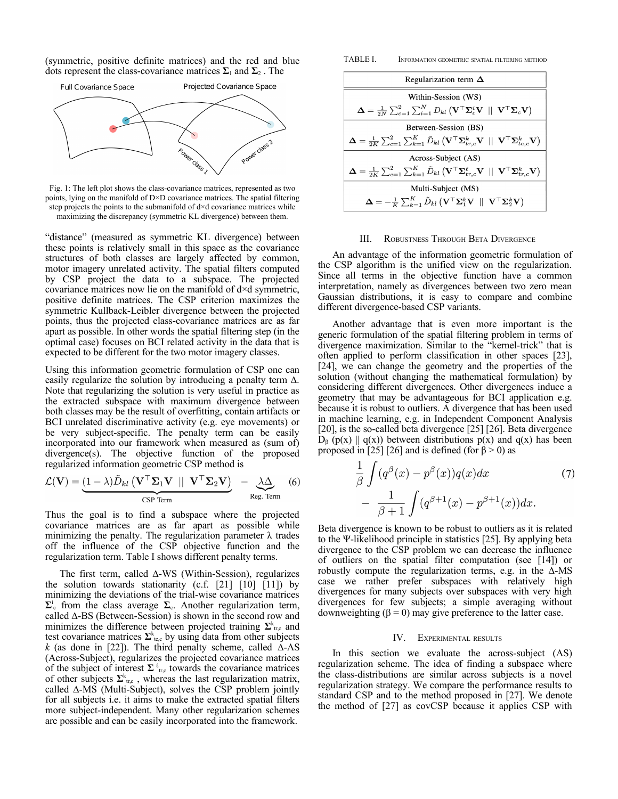(symmetric, positive definite matrices) and the red and blue dots represent the class-covariance matrices  $\Sigma_1$  and  $\Sigma_2$ . The



Fig. 1: The left plot shows the class-covariance matrices, represented as two points, lying on the manifold of D×D covariance matrices. The spatial filtering step projects the points to the submanifold of  $d \times d$  covariance matrices while maximizing the discrepancy (symmetric KL divergence) between them.

"distance" (measured as symmetric KL divergence) between these points is relatively small in this space as the covariance structures of both classes are largely affected by common, motor imagery unrelated activity. The spatial filters computed by CSP project the data to a subspace. The projected covariance matrices now lie on the manifold of  $d \times d$  symmetric, positive definite matrices. The CSP criterion maximizes the symmetric Kullback-Leibler divergence between the projected points, thus the projected class-covariance matrices are as far apart as possible. In other words the spatial filtering step (in the optimal case) focuses on BCI related activity in the data that is expected to be different for the two motor imagery classes.

Using this information geometric formulation of CSP one can easily regularize the solution by introducing a penalty term ∆. Note that regularizing the solution is very useful in practice as the extracted subspace with maximum divergence between both classes may be the result of overfitting, contain artifacts or BCI unrelated discriminative activity (e.g. eye movements) or be very subject-specific. The penalty term can be easily incorporated into our framework when measured as (sum of) divergence(s). The objective function of the proposed regularized information geometric CSP method is

$$
\mathcal{L}(\mathbf{V}) = \underbrace{(1-\lambda)\tilde{D}_{kl} (\mathbf{V}^{\top}\Sigma_1\mathbf{V} \mid \mid \mathbf{V}^{\top}\Sigma_2\mathbf{V})}_{\text{CSP Term}} - \underbrace{\lambda\Delta}_{\text{Reg. Term}}
$$
(6)

Thus the goal is to find a subspace where the projected covariance matrices are as far apart as possible while minimizing the penalty. The regularization parameter  $\lambda$  trades off the influence of the CSP objective function and the regularization term. Table I shows different penalty terms.

The first term, called **∆**-WS (Within-Session), regularizes the solution towards stationarity  $(c.f. [21] [10] [11])$  by minimizing the deviations of the trial-wise covariance matrices  $\Sigma$ <sup>i</sup> from the class average  $\Sigma$ <sub>c</sub>. Another regularization term, called **∆**-BS (Between-Session) is shown in the second row and minimizes the difference between projected training  $\Sigma^k_{\text{tr,c}}$  and test covariance matrices  $\Sigma^k_{\text{te},c}$  by using data from other subjects *k* (as done in [22]). The third penalty scheme, called **∆**-AS (Across-Subject), regularizes the projected covariance matrices of the subject of interest  $\Sigma$ <sup>t</sup><sub>tr,c</sub> towards the covariance matrices of other subjects  $\Sigma^k_{\text{tr,c}}$ , whereas the last regularization matrix, called **∆**-MS (Multi-Subject), solves the CSP problem jointly for all subjects i.e. it aims to make the extracted spatial filters more subject-independent. Many other regularization schemes are possible and can be easily incorporated into the framework.



| Regularization term $\Delta$                                                                                                                                                                                                  |
|-------------------------------------------------------------------------------------------------------------------------------------------------------------------------------------------------------------------------------|
| Within-Session (WS)                                                                                                                                                                                                           |
| $\mathbf{\Delta} = \frac{1}{2N} \sum_{c=1}^{2} \sum_{i=1}^{N} D_{kl} (\mathbf{V}^{\top} \mathbf{\Sigma}_{c}^{i} \mathbf{V} \ \parallel \ \mathbf{V}^{\top} \mathbf{\Sigma}_{c} \mathbf{V})$                                   |
| Between-Session (BS)                                                                                                                                                                                                          |
| $\mathbf{\Delta} = \frac{1}{2K}\sum_{c=1}^{2}\sum_{k=1}^{K}\tilde{D}_{kl} \left(\mathbf{V}^{\top}\mathbf{\Sigma}_{tr,c}^{k}\mathbf{V} \parallel \mathbf{V}^{\top}\mathbf{\Sigma}_{te.c}^{k}\mathbf{V}\right)$                 |
| Across-Subject (AS)                                                                                                                                                                                                           |
| $\mathbf{\Delta} = \frac{1}{2K} \sum_{c=1}^{2} \sum_{k=1}^{K} \tilde{D}_{kl} \left( \mathbf{V}^{\top} \mathbf{\Sigma}_{tr,c}^{\ell} \mathbf{V} \ \parallel \ \mathbf{V}^{\top} \mathbf{\Sigma}_{tr,c}^{k} \mathbf{V} \right)$ |
| Multi-Subject (MS)                                                                                                                                                                                                            |
| $\mathbf{\Delta} = -\frac{1}{K}\sum_{k=1}^K \tilde{D}_{kl} \left(\mathbf{V}^\top \mathbf{\Sigma}_1^k \mathbf{V} \ \parallel \ \mathbf{V}^\top \mathbf{\Sigma}_2^k \mathbf{V}\right)$                                          |

### III. ROBUSTNESS THROUGH BETA DIVERGENCE

An advantage of the information geometric formulation of the CSP algorithm is the unified view on the regularization. Since all terms in the objective function have a common interpretation, namely as divergences between two zero mean Gaussian distributions, it is easy to compare and combine different divergence-based CSP variants.

Another advantage that is even more important is the generic formulation of the spatial filtering problem in terms of divergence maximization. Similar to the "kernel-trick" that is often applied to perform classification in other spaces [23], [24], we can change the geometry and the properties of the solution (without changing the mathematical formulation) by considering different divergences. Other divergences induce a geometry that may be advantageous for BCI application e.g. because it is robust to outliers. A divergence that has been used in machine learning, e.g. in Independent Component Analysis [20], is the so-called beta divergence [25] [26]. Beta divergence  $D_{\beta}$  (p(x) || q(x)) between distributions p(x) and q(x) has been proposed in [25] [26] and is defined (for  $\beta > 0$ ) as

$$
\frac{1}{\beta} \int (q^{\beta}(x) - p^{\beta}(x))q(x)dx \qquad (7)
$$

$$
-\frac{1}{\beta+1} \int (q^{\beta+1}(x) - p^{\beta+1}(x))dx.
$$

Beta divergence is known to be robust to outliers as it is related to the Ψ-likelihood principle in statistics [25]. By applying beta divergence to the CSP problem we can decrease the influence of outliers on the spatial filter computation (see [14]) or robustly compute the regularization terms, e.g. in the **∆**-MS case we rather prefer subspaces with relatively high divergences for many subjects over subspaces with very high divergences for few subjects; a simple averaging without downweighting ( $β = 0$ ) may give preference to the latter case.

#### IV. EXPERIMENTAL RESULTS

In this section we evaluate the across-subject (AS) regularization scheme. The idea of finding a subspace where the class-distributions are similar across subjects is a novel regularization strategy. We compare the performance results to standard CSP and to the method proposed in [27]. We denote the method of [27] as covCSP because it applies CSP with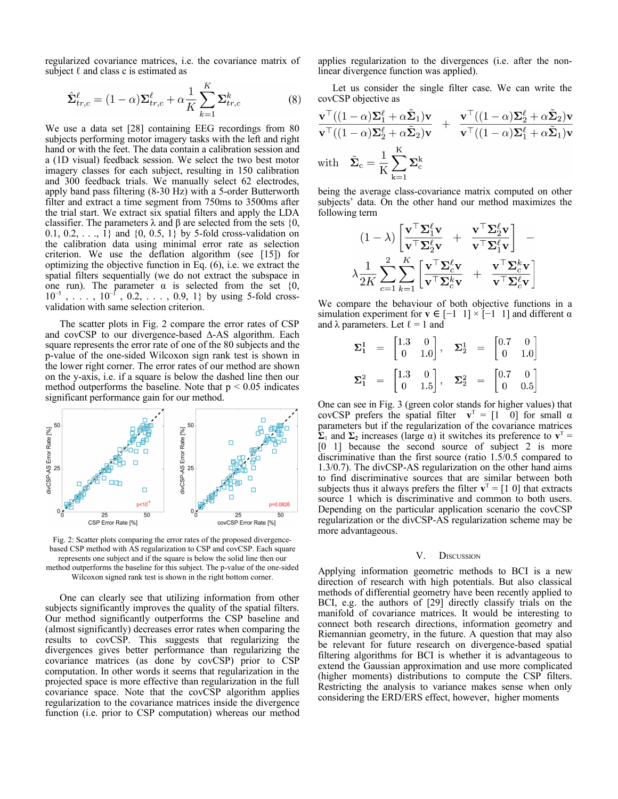regularized covariance matrices, i.e. the covariance matrix of subject  $\ell$  and class c is estimated as

$$
\hat{\Sigma}_{tr,c}^{\ell} = (1 - \alpha) \Sigma_{tr,c}^{\ell} + \alpha \frac{1}{K} \sum_{k=1}^{K} \Sigma_{tr,c}^{k}
$$
 (8)

We use a data set [28] containing EEG recordings from 80 subjects performing motor imagery tasks with the left and right hand or with the feet. The data contain a calibration session and a (1D visual) feedback session. We select the two best motor imagery classes for each subject, resulting in 150 calibration and 300 feedback trials. We manually select 62 electrodes, apply band pass filtering (8-30 Hz) with a 5-order Butterworth filter and extract a time segment from 750ms to 3500ms after the trial start. We extract six spatial filters and apply the LDA classifier. The parameters  $\lambda$  and  $\beta$  are selected from the sets {0, 0.1, 0.2, ..., 1} and  $\{0, 0.5, 1\}$  by 5-fold cross-validation on the calibration data using minimal error rate as selection criterion. We use the deflation algorithm (see [15]) for optimizing the objective function in Eq. (6), i.e. we extract the spatial filters sequentially (we do not extract the subspace in one run). The parameter  $\alpha$  is selected from the set {0, 10<sup>-5</sup>, . . . , 10<sup>-f</sup>, 0.2, . . . , 0.9, 1} by using 5-fold crossvalidation with same selection criterion.

The scatter plots in Fig. 2 compare the error rates of CSP and covCSP to our divergence-based ∆-AS algorithm. Each square represents the error rate of one of the 80 subjects and the p-value of the one-sided Wilcoxon sign rank test is shown in the lower right corner. The error rates of our method are shown on the y-axis, i.e. if a square is below the dashed line then our method outperforms the baseline. Note that  $p < 0.05$  indicates significant performance gain for our method.



Fig. 2: Scatter plots comparing the error rates of the proposed divergencebased CSP method with AS regularization to CSP and covCSP. Each square represents one subject and if the square is below the solid line then our method outperforms the baseline for this subject. The p-value of the one-sided Wilcoxon signed rank test is shown in the right bottom corner.

One can clearly see that utilizing information from other subjects significantly improves the quality of the spatial filters. Our method significantly outperforms the CSP baseline and (almost significantly) decreases error rates when comparing the results to covCSP. This suggests that regularizing the divergences gives better performance than regularizing the covariance matrices (as done by covCSP) prior to CSP computation. In other words it seems that regularization in the projected space is more effective than regularization in the full covariance space. Note that the covCSP algorithm applies regularization to the covariance matrices inside the divergence function (i.e. prior to CSP computation) whereas our method applies regularization to the divergences (i.e. after the nonlinear divergence function was applied).

Let us consider the single filter case. We can write the covCSP objective as

$$
\frac{\mathbf{v}^\top ((1-\alpha)\Sigma_1^\ell + \alpha \tilde{\Sigma}_1)\mathbf{v}}{\mathbf{v}^\top ((1-\alpha)\Sigma_2^\ell + \alpha \tilde{\Sigma}_2)\mathbf{v}} + \frac{\mathbf{v}^\top ((1-\alpha)\Sigma_2^\ell + \alpha \tilde{\Sigma}_2)\mathbf{v}}{\mathbf{v}^\top ((1-\alpha)\Sigma_1^\ell + \alpha \tilde{\Sigma}_1)\mathbf{v}}
$$
\nwith  $\tilde{\Sigma}_c = \frac{1}{K} \sum_{k=1}^K \Sigma_c^k$ 

being the average class-covariance matrix computed on other subjects' data. On the other hand our method maximizes the following term

$$
(1 - \lambda) \left[ \frac{\mathbf{v}^\top \mathbf{\Sigma}_1^{\ell} \mathbf{v}}{\mathbf{v}^\top \mathbf{\Sigma}_2^{\ell} \mathbf{v}} + \frac{\mathbf{v}^\top \mathbf{\Sigma}_2^{\ell} \mathbf{v}}{\mathbf{v}^\top \mathbf{\Sigma}_1^{\ell} \mathbf{v}} \right] - \\ \lambda \frac{1}{2K} \sum_{c=1}^2 \sum_{k=1}^K \left[ \frac{\mathbf{v}^\top \mathbf{\Sigma}_c^{\ell} \mathbf{v}}{\mathbf{v}^\top \mathbf{\Sigma}_c^k \mathbf{v}} + \frac{\mathbf{v}^\top \mathbf{\Sigma}_c^k \mathbf{v}}{\mathbf{v}^\top \mathbf{\Sigma}_c^{\ell} \mathbf{v}} \right]
$$

We compare the behaviour of both objective functions in a simulation experiment for **v**  $\in$  [−1 1] × [−1 1] and different  $\alpha$ and  $\lambda$  parameters. Let  $\ell = 1$  and

$$
\Sigma_1^1 = \begin{bmatrix} 1.3 & 0 \\ 0 & 1.0 \end{bmatrix}, \quad \Sigma_2^1 = \begin{bmatrix} 0.7 & 0 \\ 0 & 1.0 \end{bmatrix}
$$

$$
\Sigma_1^2 = \begin{bmatrix} 1.3 & 0 \\ 0 & 1.5 \end{bmatrix}, \quad \Sigma_2^2 = \begin{bmatrix} 0.7 & 0 \\ 0 & 0.5 \end{bmatrix}
$$

One can see in Fig. 3 (green color stands for higher values) that covCSP prefers the spatial filter  $\mathbf{v}^T = \begin{bmatrix} 1 & 0 \end{bmatrix}$  for small  $\alpha$ parameters but if the regularization of the covariance matrices  $\sum$ <sub>1</sub> and  $\Sigma$ <sub>2</sub> increases (large α) it switches its preference to  $\mathbf{v}^T$  = [0 1] because the second source of subject 2 is more discriminative than the first source (ratio 1.5/0.5 compared to 1.3/0.7). The divCSP-AS regularization on the other hand aims to find discriminative sources that are similar between both subjects thus it always prefers the filter  $\mathbf{v}^T = [1 \ 0]$  that extracts source 1 which is discriminative and common to both users. Depending on the particular application scenario the covCSP regularization or the divCSP-AS regularization scheme may be more advantageous.

#### V. DISCUSSION

Applying information geometric methods to BCI is a new direction of research with high potentials. But also classical methods of differential geometry have been recently applied to BCI, e.g. the authors of [29] directly classify trials on the manifold of covariance matrices. It would be interesting to connect both research directions, information geometry and Riemannian geometry, in the future. A question that may also be relevant for future research on divergence-based spatial filtering algorithms for BCI is whether it is advantageous to extend the Gaussian approximation and use more complicated (higher moments) distributions to compute the CSP filters. Restricting the analysis to variance makes sense when only considering the ERD/ERS effect, however, higher moments